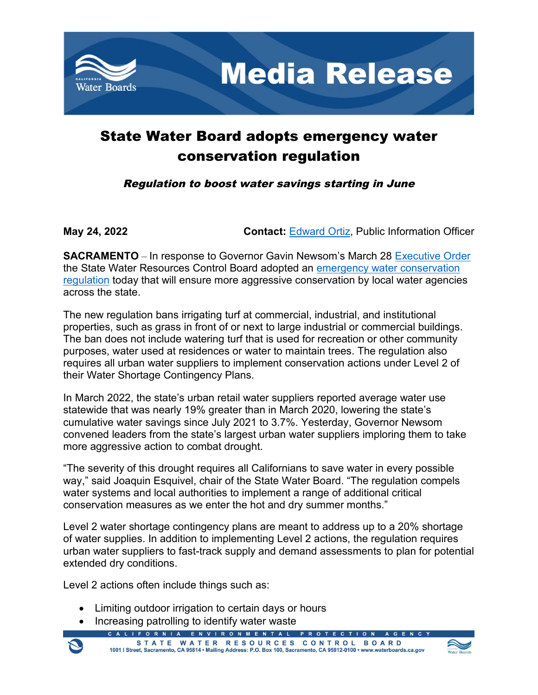

## State Water Board adopts emergency water conservation regulation

Regulation to boost water savings starting in June

**May 24, 2022 Contact:** [Edward Ortiz,](mailto:Edward.Ortiz@Waterboards.ca.gov) Public Information Officer

**SACRAMENTO** – In response to Governor Gavin Newsom's March 28 [Executive Order](https://www.gov.ca.gov/2022/03/28/as-western-drought-worsens-governor-newsom-moves-to-bolster-regional-conservation-efforts/) the State Water Resources Control Board adopted an [emergency water conservation](https://www.waterboards.ca.gov/water_issues/programs/conservation_portal/regs/emergency_regulation.html)  [regulation](https://www.waterboards.ca.gov/water_issues/programs/conservation_portal/regs/emergency_regulation.html) today that will ensure more aggressive conservation by local water agencies across the state.

The new regulation bans irrigating turf at commercial, industrial, and institutional properties, such as grass in front of or next to large industrial or commercial buildings. The ban does not include watering turf that is used for recreation or other community purposes, water used at residences or water to maintain trees. The regulation also requires all urban water suppliers to implement conservation actions under Level 2 of their Water Shortage Contingency Plans.

In March 2022, the state's urban retail water suppliers reported average water use statewide that was nearly 19% greater than in March 2020, lowering the state's cumulative water savings since July 2021 to 3.7%. Yesterday, Governor Newsom convened leaders from the state's largest urban water suppliers imploring them to take more aggressive action to combat drought.

"The severity of this drought requires all Californians to save water in every possible way," said Joaquin Esquivel, chair of the State Water Board. "The regulation compels water systems and local authorities to implement a range of additional critical conservation measures as we enter the hot and dry summer months."

Level 2 water shortage contingency plans are meant to address up to a 20% shortage of water supplies. In addition to implementing Level 2 actions, the regulation requires urban water suppliers to fast-track supply and demand assessments to plan for potential extended dry conditions.

Level 2 actions often include things such as:

- Limiting outdoor irrigation to certain days or hours
- Increasing patrolling to identify water waste

FORN **ENVIRONMENTAL** STATE WATER RESOURCES CONTROL BOARD 1001 | Street, Sacramento, CA 95814 • Mailing Address: P.O. Box 100, Sacramento, CA 95812-0100 • www.waterboards.ca.gov